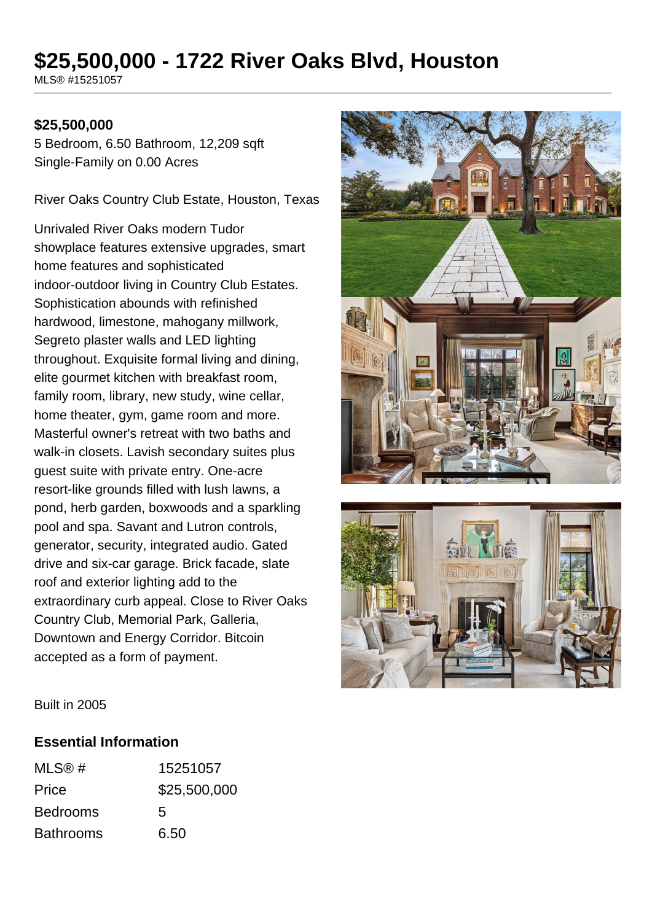# **\$25,500,000 - 1722 River Oaks Blvd, Houston**

MLS® #15251057

#### **\$25,500,000**

5 Bedroom, 6.50 Bathroom, 12,209 sqft Single-Family on 0.00 Acres

River Oaks Country Club Estate, Houston, Texas

Unrivaled River Oaks modern Tudor showplace features extensive upgrades, smart home features and sophisticated indoor-outdoor living in Country Club Estates. Sophistication abounds with refinished hardwood, limestone, mahogany millwork, Segreto plaster walls and LED lighting throughout. Exquisite formal living and dining, elite gourmet kitchen with breakfast room, family room, library, new study, wine cellar, home theater, gym, game room and more. Masterful owner's retreat with two baths and walk-in closets. Lavish secondary suites plus guest suite with private entry. One-acre resort-like grounds filled with lush lawns, a pond, herb garden, boxwoods and a sparkling pool and spa. Savant and Lutron controls, generator, security, integrated audio. Gated drive and six-car garage. Brick facade, slate roof and exterior lighting add to the extraordinary curb appeal. Close to River Oaks Country Club, Memorial Park, Galleria, Downtown and Energy Corridor. Bitcoin accepted as a form of payment.





Built in 2005

#### **Essential Information**

| MLS@#            | 15251057     |
|------------------|--------------|
| Price            | \$25,500,000 |
| <b>Bedrooms</b>  | 5            |
| <b>Bathrooms</b> | 6.50         |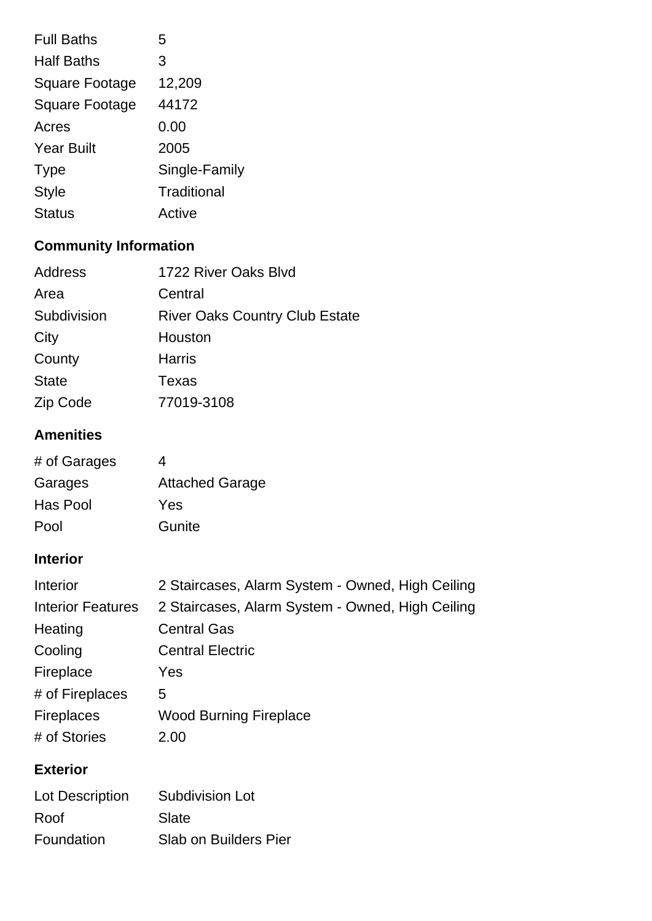| <b>Full Baths</b>     | 5             |
|-----------------------|---------------|
| <b>Half Baths</b>     | 3             |
| <b>Square Footage</b> | 12,209        |
| <b>Square Footage</b> | 44172         |
| Acres                 | 0.00          |
| <b>Year Built</b>     | 2005          |
| <b>Type</b>           | Single-Family |
| <b>Style</b>          | Traditional   |
| <b>Status</b>         | Active        |

## **Community Information**

| 1722 River Oaks Blvd                  |
|---------------------------------------|
| Central                               |
| <b>River Oaks Country Club Estate</b> |
| Houston                               |
| <b>Harris</b>                         |
| Texas                                 |
| 77019-3108                            |
|                                       |

### **Amenities**

| # of Garages | 4                      |
|--------------|------------------------|
| Garages      | <b>Attached Garage</b> |
| Has Pool     | Yes                    |
| Pool         | Gunite                 |

### **Interior**

| Interior                 | 2 Staircases, Alarm System - Owned, High Ceiling |
|--------------------------|--------------------------------------------------|
| <b>Interior Features</b> | 2 Staircases, Alarm System - Owned, High Ceiling |
| Heating                  | <b>Central Gas</b>                               |
| Cooling                  | <b>Central Electric</b>                          |
| Fireplace                | Yes                                              |
| # of Fireplaces          | 5.                                               |
| <b>Fireplaces</b>        | <b>Wood Burning Fireplace</b>                    |
| # of Stories             | 2.00                                             |
|                          |                                                  |

### **Exterior**

| Lot Description | <b>Subdivision Lot</b>       |
|-----------------|------------------------------|
| Roof            | Slate                        |
| Foundation      | <b>Slab on Builders Pier</b> |